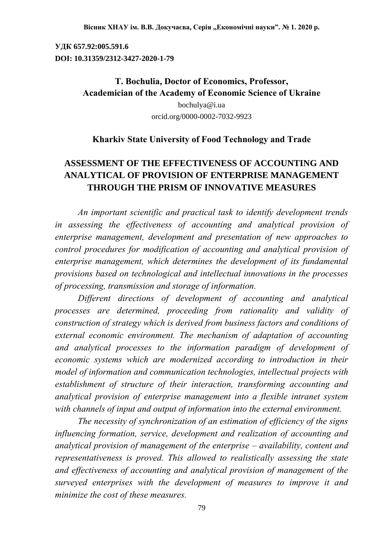**УДК 657.92:005.591.6 DOI: 10.31359/2312-3427-2020-1-79**

# **T. Bochulia, Doctor of Economics, Professor, Academician of the Academy of Economic Science of Ukraine**

[bochulya@i.ua](mailto:bochulya@i.ua) orcid.org/0000-0002-7032-9923

### **Kharkiv State University of Food Technology and Trade**

# **ASSESSMENT OF THE EFFECTIVENESS OF ACCOUNTING AND ANALYTICAL OF PROVISION OF ENTERPRISE MANAGEMENT THROUGH THE PRISM OF INNOVATIVE MEASURES**

*An important scientific and practical task to identify development trends in assessing the effectiveness of accounting and analytical provision of enterprise management, development and presentation of new approaches to control procedures for modification of accounting and analytical provision of enterprise management, which determines the development of its fundamental provisions based on technological and intellectual innovations in the processes of processing, transmission and storage of information.* 

*Different directions of development of accounting and analytical processes are determined, proceeding from rationality and validity of construction of strategy which is derived from business factors and conditions of external economic environment. The mechanism of adaptation of accounting and analytical processes to the information paradigm of development of economic systems which are modernized according to introduction in their model of information and communication technologies, intellectual projects with establishment of structure of their interaction, transforming accounting and analytical provision of enterprise management into a flexible intranet system with channels of input and output of information into the external environment.*

*The necessity of synchronization of an estimation of efficiency of the signs influencing formation, service, development and realization of accounting and analytical provision of management of the enterprise – availability, content and representativeness is proved. This allowed to realistically assessing the state and effectiveness of accounting and analytical provision of management of the surveyed enterprises with the development of measures to improve it and minimize the cost of these measures.*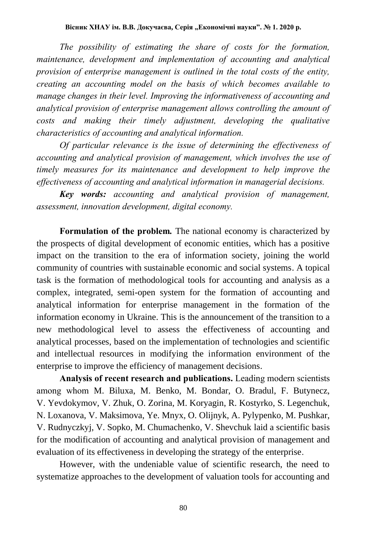*The possibility of estimating the share of costs for the formation, maintenance, development and implementation of accounting and analytical provision of enterprise management is outlined in the total costs of the entity, creating an accounting model on the basis of which becomes available to manage changes in their level. Improving the informativeness of accounting and analytical provision of enterprise management allows controlling the amount of costs and making their timely adjustment, developing the qualitative characteristics of accounting and analytical information.*

*Of particular relevance is the issue of determining the effectiveness of accounting and analytical provision of management, which involves the use of timely measures for its maintenance and development to help improve the effectiveness of accounting and analytical information in managerial decisions.*

*Key words: accounting and analytical provision of management, assessment, innovation development, digital economy.*

**Formulation of the problem***.* The national economy is characterized by the prospects of digital development of economic entities, which has a positive impact on the transition to the era of information society, joining the world community of countries with sustainable economic and social systems. A topical task is the formation of methodological tools for accounting and analysis as a complex, integrated, semi-open system for the formation of accounting and analytical information for enterprise management in the formation of the information economy in Ukraine. This is the announcement of the transition to a new methodological level to assess the effectiveness of accounting and analytical processes, based on the implementation of technologies and scientific and intellectual resources in modifying the information environment of the enterprise to improve the efficiency of management decisions.

**Analysis of recent research and publications.** Leading modern scientists among whom M. Biluxa, M. Benko, M. Bondar, O. Bradul, F. Butynecz, V. Yevdokymov, V. Zhuk, O. Zorina, M. Koryagin, R. Kostyrko, S. Legenchuk, N. Loxanova, V. Maksimova, Ye. Mnyx, O. Olijnyk, A. Pylypenko, M. Pushkar, V. Rudnyczkyj, V. Sopko, M. Chumachenko, V. Shevchuk laid a scientific basis for the modification of accounting and analytical provision of management and evaluation of its effectiveness in developing the strategy of the enterprise.

However, with the undeniable value of scientific research, the need to systematize approaches to the development of valuation tools for accounting and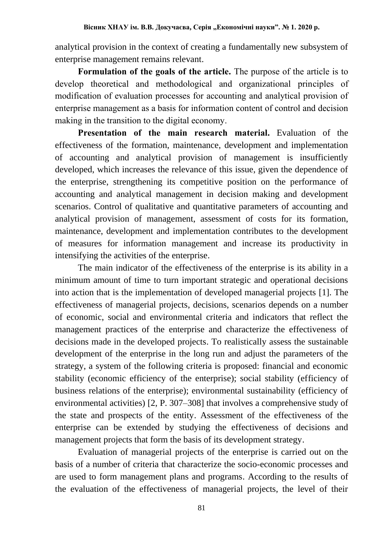analytical provision in the context of creating a fundamentally new subsystem of enterprise management remains relevant.

**Formulation of the goals of the article.** The purpose of the article is to develop theoretical and methodological and organizational principles of modification of evaluation processes for accounting and analytical provision of enterprise management as a basis for information content of control and decision making in the transition to the digital economy.

**Presentation of the main research material.** Evaluation of the effectiveness of the formation, maintenance, development and implementation of accounting and analytical provision of management is insufficiently developed, which increases the relevance of this issue, given the dependence of the enterprise, strengthening its competitive position on the performance of accounting and analytical management in decision making and development scenarios. Control of qualitative and quantitative parameters of accounting and analytical provision of management, assessment of costs for its formation, maintenance, development and implementation contributes to the development of measures for information management and increase its productivity in intensifying the activities of the enterprise.

The main indicator of the effectiveness of the enterprise is its ability in a minimum amount of time to turn important strategic and operational decisions into action that is the implementation of developed managerial projects [1]. The effectiveness of managerial projects, decisions, scenarios depends on a number of economic, social and environmental criteria and indicators that reflect the management practices of the enterprise and characterize the effectiveness of decisions made in the developed projects. To realistically assess the sustainable development of the enterprise in the long run and adjust the parameters of the strategy, a system of the following criteria is proposed: financial and economic stability (economic efficiency of the enterprise); social stability (efficiency of business relations of the enterprise); environmental sustainability (efficiency of environmental activities) [2, P. 307–308] that involves a comprehensive study of the state and prospects of the entity. Assessment of the effectiveness of the enterprise can be extended by studying the effectiveness of decisions and management projects that form the basis of its development strategy.

Evaluation of managerial projects of the enterprise is carried out on the basis of a number of criteria that characterize the socio-economic processes and are used to form management plans and programs. According to the results of the evaluation of the effectiveness of managerial projects, the level of their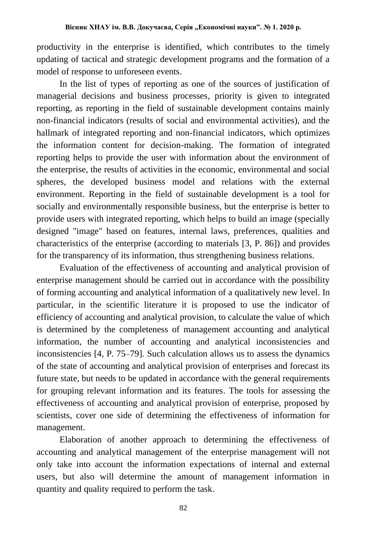productivity in the enterprise is identified, which contributes to the timely updating of tactical and strategic development programs and the formation of a model of response to unforeseen events.

In the list of types of reporting as one of the sources of justification of managerial decisions and business processes, priority is given to integrated reporting, as reporting in the field of sustainable development contains mainly non-financial indicators (results of social and environmental activities), and the hallmark of integrated reporting and non-financial indicators, which optimizes the information content for decision-making. The formation of integrated reporting helps to provide the user with information about the environment of the enterprise, the results of activities in the economic, environmental and social spheres, the developed business model and relations with the external environment. Reporting in the field of sustainable development is a tool for socially and environmentally responsible business, but the enterprise is better to provide users with integrated reporting, which helps to build an image (specially designed "image" based on features, internal laws, preferences, qualities and characteristics of the enterprise (according to materials [3, P. 86]) and provides for the transparency of its information, thus strengthening business relations.

Evaluation of the effectiveness of accounting and analytical provision of enterprise management should be carried out in accordance with the possibility of forming accounting and analytical information of a qualitatively new level. In particular, in the scientific literature it is proposed to use the indicator of efficiency of accounting and analytical provision, to calculate the value of which is determined by the completeness of management accounting and analytical information, the number of accounting and analytical inconsistencies and inconsistencies [4, P. 75–79]. Such calculation allows us to assess the dynamics of the state of accounting and analytical provision of enterprises and forecast its future state, but needs to be updated in accordance with the general requirements for grouping relevant information and its features. The tools for assessing the effectiveness of accounting and analytical provision of enterprise, proposed by scientists, cover one side of determining the effectiveness of information for management.

Elaboration of another approach to determining the effectiveness of accounting and analytical management of the enterprise management will not only take into account the information expectations of internal and external users, but also will determine the amount of management information in quantity and quality required to perform the task.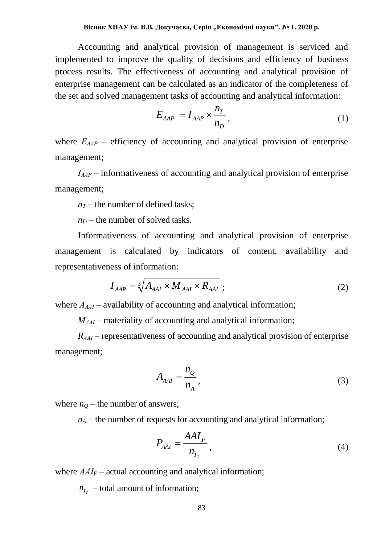Accounting and analytical provision of management is serviced and implemented to improve the quality of decisions and efficiency of business process results. The effectiveness of accounting and analytical provision of enterprise management can be calculated as an indicator of the completeness of the set and solved management tasks of accounting and analytical information:

$$
E_{AAP} = I_{AAP} \times \frac{n_T}{n_D},\tag{1}
$$

where  $E_{AAP}$  – efficiency of accounting and analytical provision of enterprise management;

*ІААР* – informativeness of accounting and analytical provision of enterprise management;

 $n_T$  – the number of defined tasks;

 $n_D$  – the number of solved tasks.

Informativeness of accounting and analytical provision of enterprise management is calculated by indicators of content, availability and representativeness of information:

$$
I_{AAP} = \sqrt[3]{A_{AAI} \times M_{AAI} \times R_{AAI}} \tag{2}
$$

where  $A_{AAI}$  – availability of accounting and analytical information;

*MААІ* – materiality of accounting and analytical information;

*RААІ* – representativeness of accounting and analytical provision of enterprise management;

$$
A_{AAI} = \frac{n_Q}{n_A},\tag{3}
$$

where  $n<sub>O</sub>$  – the number of answers;

 $n_A$  – the number of requests for accounting and analytical information;

$$
P_{AAI} = \frac{AAI_F}{n_{I_T}},\tag{4}
$$

where  $AAI<sub>F</sub>$  – actual accounting and analytical information;

 $n_{I_T}$  – total amount of information;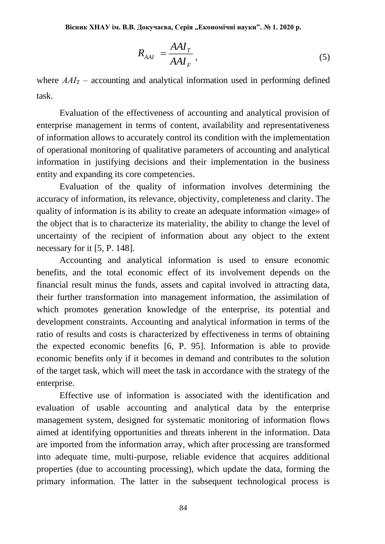$$
R_{AAI} = \frac{AAI_T}{AAI_F},\tag{5}
$$

where  $AAI<sub>T</sub>$  – accounting and analytical information used in performing defined task.

Evaluation of the effectiveness of accounting and analytical provision of enterprise management in terms of content, availability and representativeness of information allows to accurately control its condition with the implementation of operational monitoring of qualitative parameters of accounting and analytical information in justifying decisions and their implementation in the business entity and expanding its core competencies.

Evaluation of the quality of information involves determining the accuracy of information, its relevance, objectivity, completeness and clarity. The quality of information is its ability to create an adequate information «image» of the object that is to characterize its materiality, the ability to change the level of uncertainty of the recipient of information about any object to the extent necessary for it [5, P. 148].

Accounting and analytical information is used to ensure economic benefits, and the total economic effect of its involvement depends on the financial result minus the funds, assets and capital involved in attracting data, their further transformation into management information, the assimilation of which promotes generation knowledge of the enterprise, its potential and development constraints. Accounting and analytical information in terms of the ratio of results and costs is characterized by effectiveness in terms of obtaining the expected economic benefits [6, P. 95]. Information is able to provide economic benefits only if it becomes in demand and contributes to the solution of the target task, which will meet the task in accordance with the strategy of the enterprise.

Effective use of information is associated with the identification and evaluation of usable accounting and analytical data by the enterprise management system, designed for systematic monitoring of information flows aimed at identifying opportunities and threats inherent in the information. Data are imported from the information array, which after processing are transformed into adequate time, multi-purpose, reliable evidence that acquires additional properties (due to accounting processing), which update the data, forming the primary information. The latter in the subsequent technological process is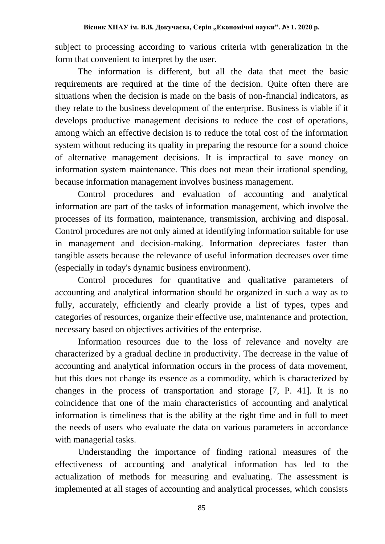subject to processing according to various criteria with generalization in the form that convenient to interpret by the user.

The information is different, but all the data that meet the basic requirements are required at the time of the decision. Quite often there are situations when the decision is made on the basis of non-financial indicators, as they relate to the business development of the enterprise. Business is viable if it develops productive management decisions to reduce the cost of operations, among which an effective decision is to reduce the total cost of the information system without reducing its quality in preparing the resource for a sound choice of alternative management decisions. It is impractical to save money on information system maintenance. This does not mean their irrational spending, because information management involves business management.

Control procedures and evaluation of accounting and analytical information are part of the tasks of information management, which involve the processes of its formation, maintenance, transmission, archiving and disposal. Control procedures are not only aimed at identifying information suitable for use in management and decision-making. Information depreciates faster than tangible assets because the relevance of useful information decreases over time (especially in today's dynamic business environment).

Control procedures for quantitative and qualitative parameters of accounting and analytical information should be organized in such a way as to fully, accurately, efficiently and clearly provide a list of types, types and categories of resources, organize their effective use, maintenance and protection, necessary based on objectives activities of the enterprise.

Information resources due to the loss of relevance and novelty are characterized by a gradual decline in productivity. The decrease in the value of accounting and analytical information occurs in the process of data movement, but this does not change its essence as a commodity, which is characterized by changes in the process of transportation and storage [7, P. 41]. It is no coincidence that one of the main characteristics of accounting and analytical information is timeliness that is the ability at the right time and in full to meet the needs of users who evaluate the data on various parameters in accordance with managerial tasks.

Understanding the importance of finding rational measures of the effectiveness of accounting and analytical information has led to the actualization of methods for measuring and evaluating. The assessment is implemented at all stages of accounting and analytical processes, which consists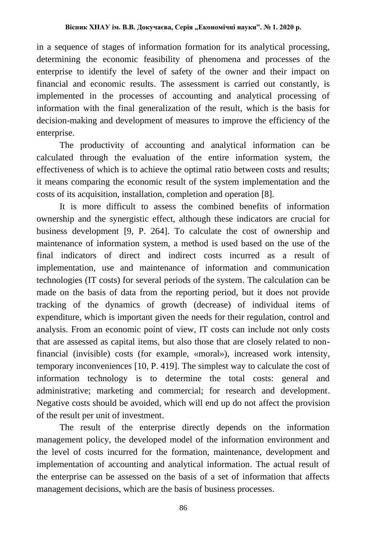in a sequence of stages of information formation for its analytical processing, determining the economic feasibility of phenomena and processes of the enterprise to identify the level of safety of the owner and their impact on financial and economic results. The assessment is carried out constantly, is implemented in the processes of accounting and analytical processing of information with the final generalization of the result, which is the basis for decision-making and development of measures to improve the efficiency of the enterprise.

The productivity of accounting and analytical information can be calculated through the evaluation of the entire information system, the effectiveness of which is to achieve the optimal ratio between costs and results; it means comparing the economic result of the system implementation and the costs of its acquisition, installation, completion and operation [8].

It is more difficult to assess the combined benefits of information ownership and the synergistic effect, although these indicators are crucial for business development [9, P. 264]. To calculate the cost of ownership and maintenance of information system, a method is used based on the use of the final indicators of direct and indirect costs incurred as a result of implementation, use and maintenance of information and communication technologies (IT costs) for several periods of the system. The calculation can be made on the basis of data from the reporting period, but it does not provide tracking of the dynamics of growth (decrease) of individual items of expenditure, which is important given the needs for their regulation, control and analysis. From an economic point of view, IT costs can include not only costs that are assessed as capital items, but also those that are closely related to nonfinancial (invisible) costs (for example, «moral»), increased work intensity, temporary inconveniences [10, P. 419]. The simplest way to calculate the cost of information technology is to determine the total costs: general and administrative; marketing and commercial; for research and development. Negative costs should be avoided, which will end up do not affect the provision of the result per unit of investment.

The result of the enterprise directly depends on the information management policy, the developed model of the information environment and the level of costs incurred for the formation, maintenance, development and implementation of accounting and analytical information. The actual result of the enterprise can be assessed on the basis of a set of information that affects management decisions, which are the basis of business processes.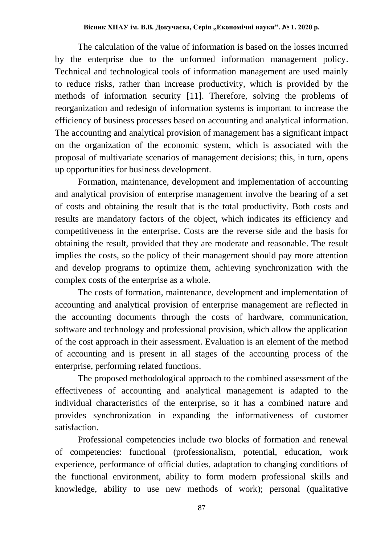The calculation of the value of information is based on the losses incurred by the enterprise due to the unformed information management policy. Technical and technological tools of information management are used mainly to reduce risks, rather than increase productivity, which is provided by the methods of information security [11]. Therefore, solving the problems of reorganization and redesign of information systems is important to increase the efficiency of business processes based on accounting and analytical information. The accounting and analytical provision of management has a significant impact on the organization of the economic system, which is associated with the proposal of multivariate scenarios of management decisions; this, in turn, opens up opportunities for business development.

Formation, maintenance, development and implementation of accounting and analytical provision of enterprise management involve the bearing of a set of costs and obtaining the result that is the total productivity. Both costs and results are mandatory factors of the object, which indicates its efficiency and competitiveness in the enterprise. Costs are the reverse side and the basis for obtaining the result, provided that they are moderate and reasonable. The result implies the costs, so the policy of their management should pay more attention and develop programs to optimize them, achieving synchronization with the complex costs of the enterprise as a whole.

The costs of formation, maintenance, development and implementation of accounting and analytical provision of enterprise management are reflected in the accounting documents through the costs of hardware, communication, software and technology and professional provision, which allow the application of the cost approach in their assessment. Evaluation is an element of the method of accounting and is present in all stages of the accounting process of the enterprise, performing related functions.

The proposed methodological approach to the combined assessment of the effectiveness of accounting and analytical management is adapted to the individual characteristics of the enterprise, so it has a combined nature and provides synchronization in expanding the informativeness of customer satisfaction.

Professional competencies include two blocks of formation and renewal of competencies: functional (professionalism, potential, education, work experience, performance of official duties, adaptation to changing conditions of the functional environment, ability to form modern professional skills and knowledge, ability to use new methods of work); personal (qualitative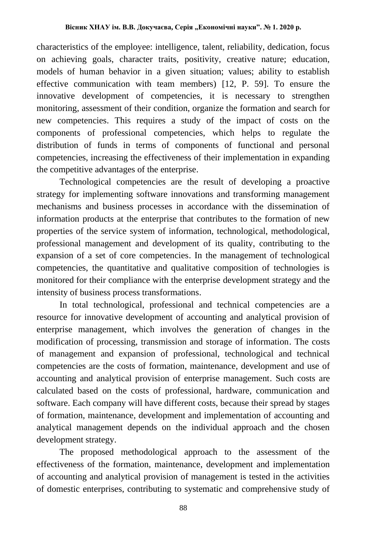characteristics of the employee: intelligence, talent, reliability, dedication, focus on achieving goals, character traits, positivity, creative nature; education, models of human behavior in a given situation; values; ability to establish effective communication with team members) [12, P. 59]. To ensure the innovative development of competencies, it is necessary to strengthen monitoring, assessment of their condition, organize the formation and search for new competencies. This requires a study of the impact of costs on the components of professional competencies, which helps to regulate the distribution of funds in terms of components of functional and personal competencies, increasing the effectiveness of their implementation in expanding the competitive advantages of the enterprise.

Technological competencies are the result of developing a proactive strategy for implementing software innovations and transforming management mechanisms and business processes in accordance with the dissemination of information products at the enterprise that contributes to the formation of new properties of the service system of information, technological, methodological, professional management and development of its quality, contributing to the expansion of a set of core competencies. In the management of technological competencies, the quantitative and qualitative composition of technologies is monitored for their compliance with the enterprise development strategy and the intensity of business process transformations.

In total technological, professional and technical competencies are a resource for innovative development of accounting and analytical provision of enterprise management, which involves the generation of changes in the modification of processing, transmission and storage of information. The costs of management and expansion of professional, technological and technical competencies are the costs of formation, maintenance, development and use of accounting and analytical provision of enterprise management. Such costs are calculated based on the costs of professional, hardware, communication and software. Each company will have different costs, because their spread by stages of formation, maintenance, development and implementation of accounting and analytical management depends on the individual approach and the chosen development strategy.

The proposed methodological approach to the assessment of the effectiveness of the formation, maintenance, development and implementation of accounting and analytical provision of management is tested in the activities of domestic enterprises, contributing to systematic and comprehensive study of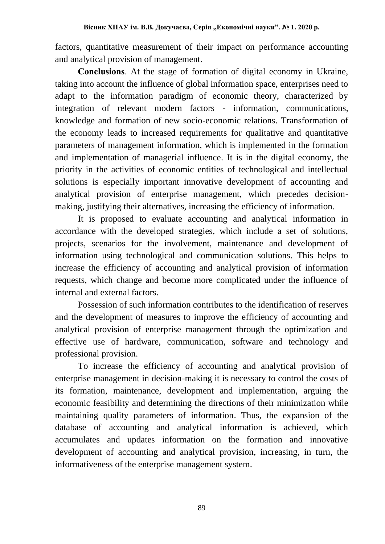factors, quantitative measurement of their impact on performance accounting and analytical provision of management.

**Conclusions**. At the stage of formation of digital economy in Ukraine, taking into account the influence of global information space, enterprises need to adapt to the information paradigm of economic theory, characterized by integration of relevant modern factors - information, communications, knowledge and formation of new socio-economic relations. Transformation of the economy leads to increased requirements for qualitative and quantitative parameters of management information, which is implemented in the formation and implementation of managerial influence. It is in the digital economy, the priority in the activities of economic entities of technological and intellectual solutions is especially important innovative development of accounting and analytical provision of enterprise management, which precedes decisionmaking, justifying their alternatives, increasing the efficiency of information.

It is proposed to evaluate accounting and analytical information in accordance with the developed strategies, which include a set of solutions, projects, scenarios for the involvement, maintenance and development of information using technological and communication solutions. This helps to increase the efficiency of accounting and analytical provision of information requests, which change and become more complicated under the influence of internal and external factors.

Possession of such information contributes to the identification of reserves and the development of measures to improve the efficiency of accounting and analytical provision of enterprise management through the optimization and effective use of hardware, communication, software and technology and professional provision.

To increase the efficiency of accounting and analytical provision of enterprise management in decision-making it is necessary to control the costs of its formation, maintenance, development and implementation, arguing the economic feasibility and determining the directions of their minimization while maintaining quality parameters of information. Thus, the expansion of the database of accounting and analytical information is achieved, which accumulates and updates information on the formation and innovative development of accounting and analytical provision, increasing, in turn, the informativeness of the enterprise management system.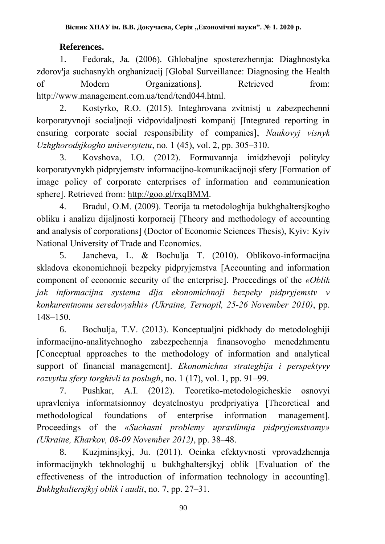## **References.**

1. Fedorak, Ja. (2006). Ghlobaljne sposterezhennja: Diaghnostyka zdorov'ja suchasnykh orghanizacij [Global Surveillance: Diagnosing the Health of Modern Organizations]. Retrieved from: http://www.management.com.ua/tend/tend044.html.

2. Kostyrko, R.O. (2015). Integhrovana zvitnistj u zabezpechenni korporatyvnoji socialjnoji vidpovidaljnosti kompanij [Integrated reporting in ensuring corporate social responsibility of companies], *Naukovyj visnyk Uzhghorodsjkogho universytetu*, no. 1 (45), vol. 2, pp. 305–310.

3. Kovshova, I.O. (2012). Formuvannja imidzhevoji polityky korporatyvnykh pidpryjemstv informacijno-komunikacijnoji sfery [Formation of image policy of corporate enterprises of information and communication sphere]. Retrieved from: [http://goo.gl/rxqBMM.](http://goo.gl/rxqBMM)

4. Bradul, O.M. (2009). Teorija ta metodologhija bukhghaltersjkogho obliku i analizu dijaljnosti korporacij [Theory and methodology of accounting and analysis of corporations] (Doctor of Economic Sciences Thesis), Kyiv: Kyiv National University of Trade and Economics.

5. Jancheva, L. & Bochulja T. (2010). Oblikovo-informacijna skladova ekonomichnoji bezpeky pidpryjemstva [Accounting and information component of economic security of the enterprise]. Proceedings of the *«Oblik jak informacijna systema dlja ekonomichnoji bezpeky pidpryjemstv v konkurentnomu seredovyshhi» (Ukraine, Ternopil, 25-26 November 2010)*, pp. 148–150.

6. Bochulja, T.V. (2013). Konceptualjni pidkhody do metodologhiji informacijno-analitychnogho zabezpechennja finansovogho menedzhmentu [Conceptual approaches to the methodology of information and analytical support of financial management]. *Ekonomichna strateghija i perspektyvy rozvytku sfery torghivli ta poslugh*, no. 1 (17), vol. 1, pp. 91–99.

7. Pushkar, A.I. (2012). Teoretiko-metodologicheskie osnovyi upravleniya informatsionnoy deyatelnostyu predpriyatiya [Theoretical and methodological foundations of enterprise information management]. Proceedings of the *«Suchasni problemy upravlinnja pidpryjemstvamy» (Ukraine, Kharkov, 08-09 November 2012)*, pp. 38–48.

8. Kuzjminsjkyj, Ju. (2011). Ocinka efektyvnosti vprovadzhennja informacijnykh tekhnologhij u bukhghaltersjkyj oblik [Evaluation of the effectiveness of the introduction of information technology in accounting]. *Bukhghaltersjkyj oblik i audit*, no. 7, pp. 27–31.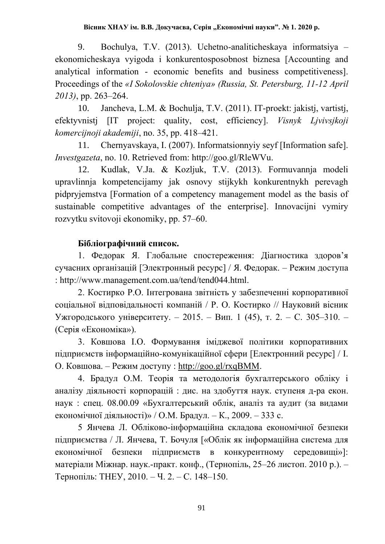9. Bochulya, T.V. (2013). Uchetno-analiticheskaya informatsiya – ekonomicheskaya vyigoda i konkurentosposobnost biznesa [Accounting and analytical information - economic benefits and business competitiveness]. Proceedings of the *«I Sokolovskie chteniya» (Russia, St. Petersburg, 11-12 April 2013)*, pp. 263–264.

10. Jancheva, L.M. & Bochulja, T.V. (2011). IT-proekt: jakistj, vartistj, efektyvnistj [IT project: quality, cost, efficiency]. *Visnyk Ljvivsjkoji komercijnoji akademiji*, no. 35, pp. 418–421.

11. Chernyavskaya, I. (2007). Informatsionnyiy seyf [Information safe]. *Investgazeta*, no. 10. Retrieved from: http://goo.gl/RleWVu.

12. Kudlak, V.Ja. & Kozljuk, T.V. (2013). Formuvannja modeli upravlinnja kompetencijamy jak osnovy stijkykh konkurentnykh perevagh pidpryjemstva [Formation of a competency management model as the basis of sustainable competitive advantages of the enterprise]. Innovacijni vymiry rozvytku svitovoji ekonomiky, pp. 57–60.

### **Бібліографічний список.**

1. Федорак Я. Глобальне спостереження: Діагностика здоров'я сучасних організацій [Электронный ресурс] / Я. Федорак. – Режим доступа : http://www.management.com.ua/tend/tend044.html.

2. Костирко Р.О. Інтегрована звітність у забезпеченні корпоративної соціальної відповідальності компаній / Р. О. Костирко // Науковий вісник Ужгородського університету. – 2015. – Вип. 1 (45), т. 2. – С. 305–310. – (Серія «Економіка»).

3. Ковшова І.О. Формування іміджевої політики корпоративних підприємств інформаційно-комунікаційної сфери [Електронний ресурс] / І. О. Ковшова. – Режим доступу : [http://goo.gl/rxqBMM.](http://goo.gl/rxqBMM)

4. Брадул О.М. Теорія та методологія бухгалтерського обліку і аналізу діяльності корпорацій : дис. на здобуття наук. ступеня д-ра екон. наук : спец. 08.00.09 «Бухгалтерський облік, аналіз та аудит (за видами економічної діяльності)» / О.М. Брадул. – К., 2009. – 333 c.

5 Янчева Л. Обліково-інформаційна складова економічної безпеки підприємства / Л. Янчева, Т. Бочуля [«Облік як інформаційна система для економічної безпеки підприємств в конкурентному середовищі»]: матеріали Міжнар. наук.-практ. конф., (Тернопіль, 25–26 листоп. 2010 р.). – Тернопіль: ТНЕУ, 2010. – Ч. 2. – С. 148–150.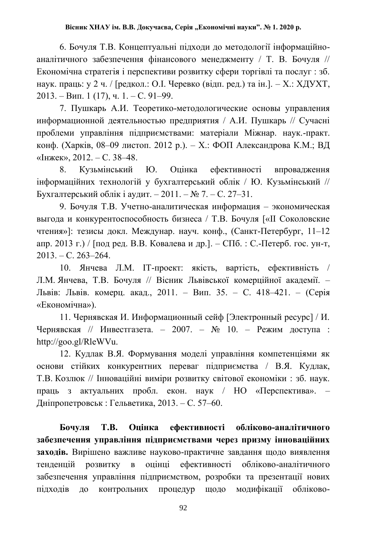6. Бочуля Т.В. Концептуальні підходи до методології інформаційноаналітичного забезпечення фінансового менеджменту / Т. В. Бочуля // Економічна стратегія і перспективи розвитку сфери торгівлі та послуг : зб. наук. праць: у 2 ч. / [редкол.: О.І. Черевко (відп. ред.) та ін.]. – Х.: ХДУХТ, 2013. – Вип. 1 (17), ч. 1. – С. 91–99.

7. Пушкарь А.И. Теоретико-методологические основы управления информационной деятельностью предприятия / А.И. Пушкарь // Сучасні проблеми управління підприємствами: матеріали Міжнар. наук.-практ. конф. (Харків, 08–09 листоп. 2012 р.). – Х.: ФОП Александрова К.М.; ВД «Інжек», 2012. – С. 38–48.

8. Кузьмінський Ю. Оцінка ефективності впровадження інформаційних технологій у бухгалтерський облік / Ю. Кузьмінський // Бухгалтерський облік і аудит. – 2011. – № 7. – С. 27–31.

9. Бочуля Т.В. Учетно-аналитическая информация – экономическая выгода и конкурентоспособность бизнеса / Т.В. Бочуля [«ІІ Соколовские чтения»]: тезисы докл. Междунар. науч. конф., (Санкт-Петербург, 11–12 апр. 2013 г.) / [под ред. В.В. Ковалева и др.]. – СПб. : С.-Петерб. гос. ун-т, 2013. – С. 263–264.

10. Янчева Л.М. ІТ-проект: якість, вартість, ефективність / Л.М. Янчева, Т.В. Бочуля // Вісник Львівської комерційної академії. – Львів: Львів. комерц. акад., 2011. – Вип. 35. – С. 418–421. – (Серія «Економічна»).

11. Чернявская И. Информационный сейф [Электронный ресурс] / И. Чернявская // Инвестгазета. – 2007. –  $N_2$  10. – Режим доступа: http://goo.gl/RleWVu.

12. Кудлак В.Я. Формування моделі управління компетенціями як основи стійких конкурентних переваг підприємства / В.Я. Кудлак, Т.В. Козлюк // Інноваційні виміри розвитку світової економіки : зб. наук. праць з актуальних пробл. екон. наук / НО «Перспектива». – Дніпропетровськ : Гельветика, 2013. – С. 57–60.

**Бочуля Т.В. Оцінка ефективності обліково-аналітичного забезпечення управління підприємствами через призму інноваційних заходів.** Вирішено важливе науково-практичне завдання щодо виявлення тенденцій розвитку в оцінці ефективності обліково-аналітичного забезпечення управління підприємством, розробки та презентації нових підходів до контрольних процедур щодо модифікації обліково-